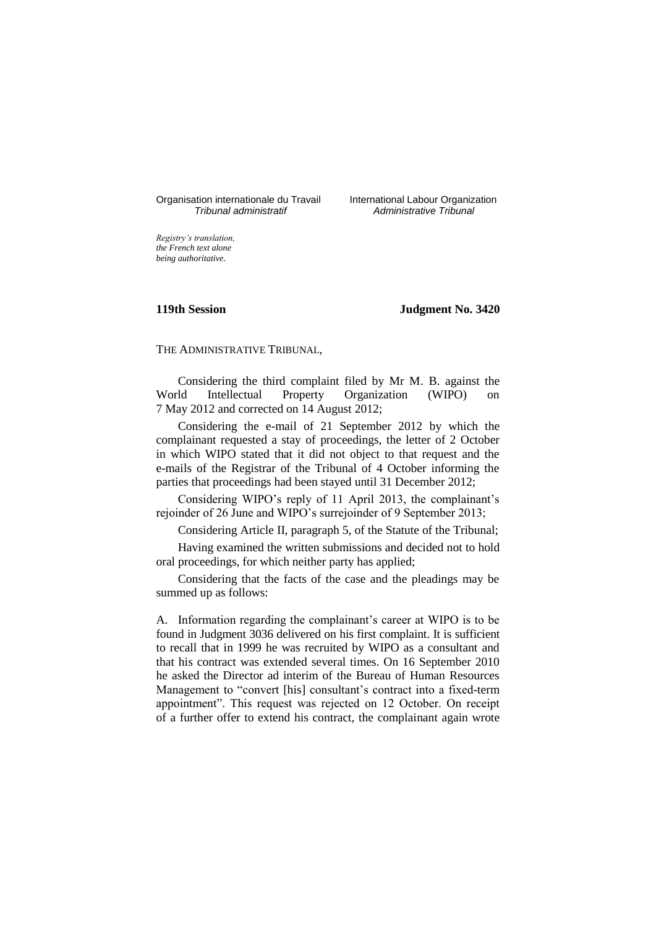# Organisation internationale du Travail International Labour Organization<br>*Tribunal administratif Administrative Tribunal*

*Tribunal administratif Administrative Tribunal*

*Registry's translation, the French text alone being authoritative.*

#### **119th Session Judgment No. 3420**

THE ADMINISTRATIVE TRIBUNAL,

Considering the third complaint filed by Mr M. B. against the World Intellectual Property Organization (WIPO) on 7 May 2012 and corrected on 14 August 2012;

Considering the e-mail of 21 September 2012 by which the complainant requested a stay of proceedings, the letter of 2 October in which WIPO stated that it did not object to that request and the e-mails of the Registrar of the Tribunal of 4 October informing the parties that proceedings had been stayed until 31 December 2012;

Considering WIPO's reply of 11 April 2013, the complainant's rejoinder of 26 June and WIPO's surrejoinder of 9 September 2013;

Considering Article II, paragraph 5, of the Statute of the Tribunal;

Having examined the written submissions and decided not to hold oral proceedings, for which neither party has applied;

Considering that the facts of the case and the pleadings may be summed up as follows:

A. Information regarding the complainant's career at WIPO is to be found in Judgment 3036 delivered on his first complaint. It is sufficient to recall that in 1999 he was recruited by WIPO as a consultant and that his contract was extended several times. On 16 September 2010 he asked the Director ad interim of the Bureau of Human Resources Management to "convert [his] consultant's contract into a fixed-term appointment". This request was rejected on 12 October. On receipt of a further offer to extend his contract, the complainant again wrote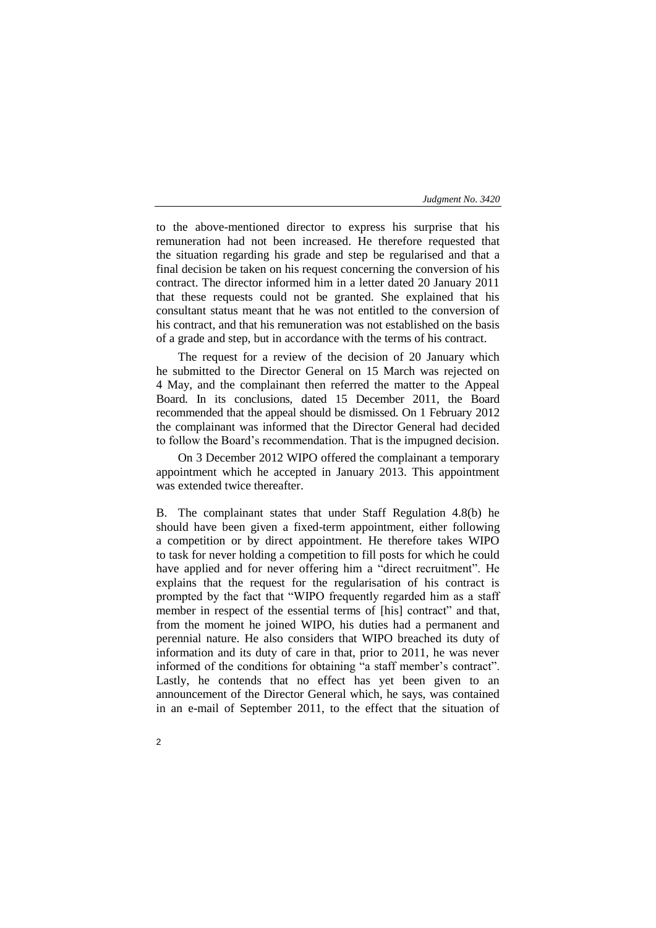to the above-mentioned director to express his surprise that his remuneration had not been increased. He therefore requested that the situation regarding his grade and step be regularised and that a final decision be taken on his request concerning the conversion of his contract. The director informed him in a letter dated 20 January 2011 that these requests could not be granted. She explained that his consultant status meant that he was not entitled to the conversion of his contract, and that his remuneration was not established on the basis of a grade and step, but in accordance with the terms of his contract.

The request for a review of the decision of 20 January which he submitted to the Director General on 15 March was rejected on 4 May, and the complainant then referred the matter to the Appeal Board. In its conclusions, dated 15 December 2011, the Board recommended that the appeal should be dismissed. On 1 February 2012 the complainant was informed that the Director General had decided to follow the Board's recommendation. That is the impugned decision.

On 3 December 2012 WIPO offered the complainant a temporary appointment which he accepted in January 2013. This appointment was extended twice thereafter.

B. The complainant states that under Staff Regulation 4.8(b) he should have been given a fixed-term appointment, either following a competition or by direct appointment. He therefore takes WIPO to task for never holding a competition to fill posts for which he could have applied and for never offering him a "direct recruitment". He explains that the request for the regularisation of his contract is prompted by the fact that "WIPO frequently regarded him as a staff member in respect of the essential terms of [his] contract" and that, from the moment he joined WIPO, his duties had a permanent and perennial nature. He also considers that WIPO breached its duty of information and its duty of care in that, prior to 2011, he was never informed of the conditions for obtaining "a staff member's contract". Lastly, he contends that no effect has yet been given to an announcement of the Director General which, he says, was contained in an e-mail of September 2011, to the effect that the situation of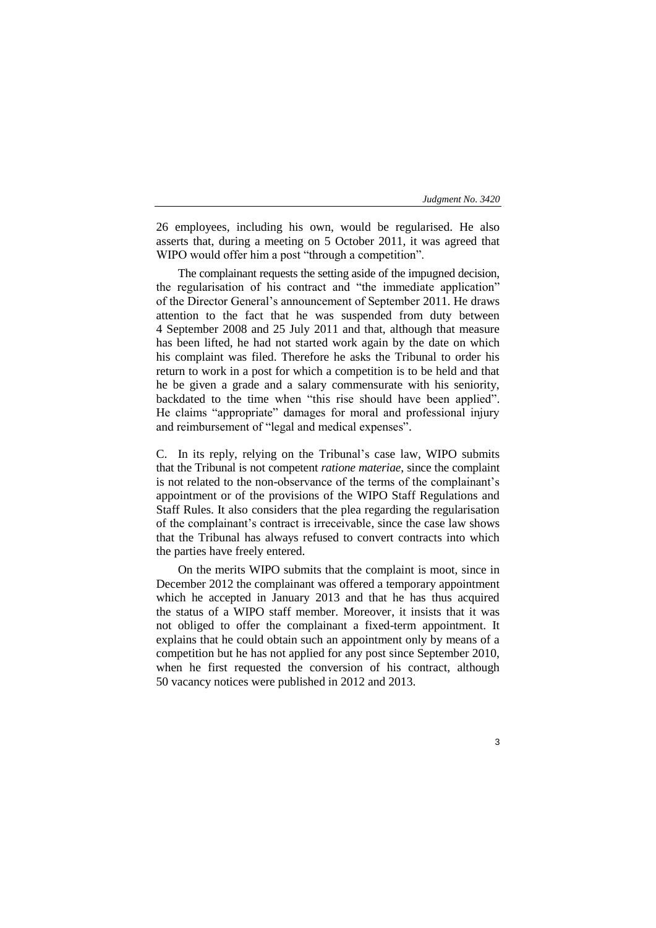3

26 employees, including his own, would be regularised. He also asserts that, during a meeting on 5 October 2011, it was agreed that WIPO would offer him a post "through a competition".

The complainant requests the setting aside of the impugned decision, the regularisation of his contract and "the immediate application" of the Director General's announcement of September 2011. He draws attention to the fact that he was suspended from duty between 4 September 2008 and 25 July 2011 and that, although that measure has been lifted, he had not started work again by the date on which his complaint was filed. Therefore he asks the Tribunal to order his return to work in a post for which a competition is to be held and that he be given a grade and a salary commensurate with his seniority, backdated to the time when "this rise should have been applied". He claims "appropriate" damages for moral and professional injury and reimbursement of "legal and medical expenses".

C. In its reply, relying on the Tribunal's case law, WIPO submits that the Tribunal is not competent *ratione materiae*, since the complaint is not related to the non-observance of the terms of the complainant's appointment or of the provisions of the WIPO Staff Regulations and Staff Rules. It also considers that the plea regarding the regularisation of the complainant's contract is irreceivable, since the case law shows that the Tribunal has always refused to convert contracts into which the parties have freely entered.

On the merits WIPO submits that the complaint is moot, since in December 2012 the complainant was offered a temporary appointment which he accepted in January 2013 and that he has thus acquired the status of a WIPO staff member. Moreover, it insists that it was not obliged to offer the complainant a fixed-term appointment. It explains that he could obtain such an appointment only by means of a competition but he has not applied for any post since September 2010, when he first requested the conversion of his contract, although 50 vacancy notices were published in 2012 and 2013.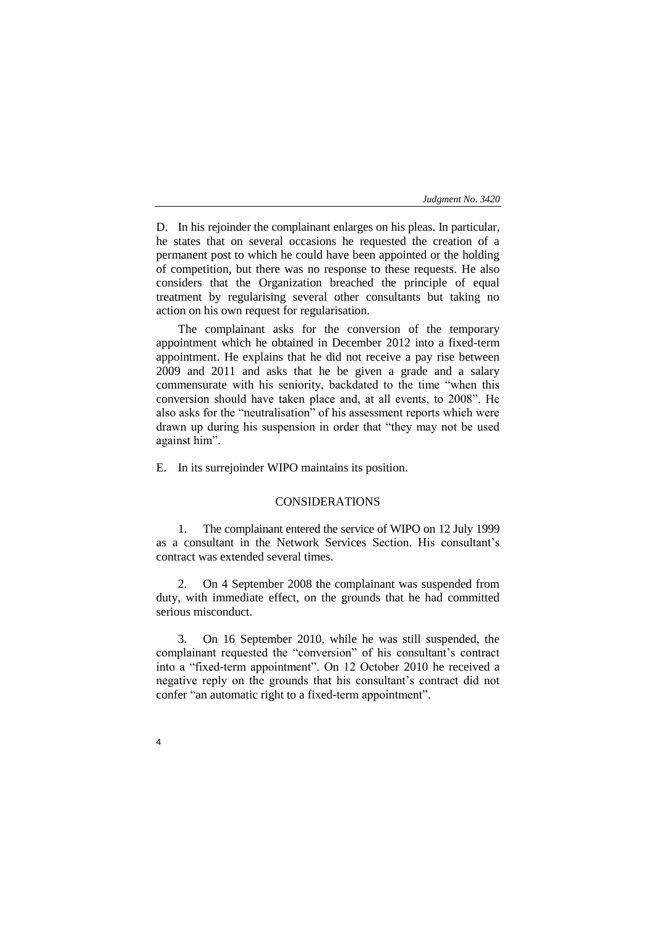D. In his rejoinder the complainant enlarges on his pleas. In particular, he states that on several occasions he requested the creation of a permanent post to which he could have been appointed or the holding of competition, but there was no response to these requests. He also considers that the Organization breached the principle of equal treatment by regularising several other consultants but taking no action on his own request for regularisation.

The complainant asks for the conversion of the temporary appointment which he obtained in December 2012 into a fixed-term appointment. He explains that he did not receive a pay rise between 2009 and 2011 and asks that he be given a grade and a salary commensurate with his seniority, backdated to the time "when this conversion should have taken place and, at all events, to 2008". He also asks for the "neutralisation" of his assessment reports which were drawn up during his suspension in order that "they may not be used against him".

E. In its surrejoinder WIPO maintains its position.

### CONSIDERATIONS

1. The complainant entered the service of WIPO on 12 July 1999 as a consultant in the Network Services Section. His consultant's contract was extended several times.

2. On 4 September 2008 the complainant was suspended from duty, with immediate effect, on the grounds that he had committed serious misconduct.

3. On 16 September 2010, while he was still suspended, the complainant requested the "conversion" of his consultant's contract into a "fixed-term appointment". On 12 October 2010 he received a negative reply on the grounds that his consultant's contract did not confer "an automatic right to a fixed-term appointment".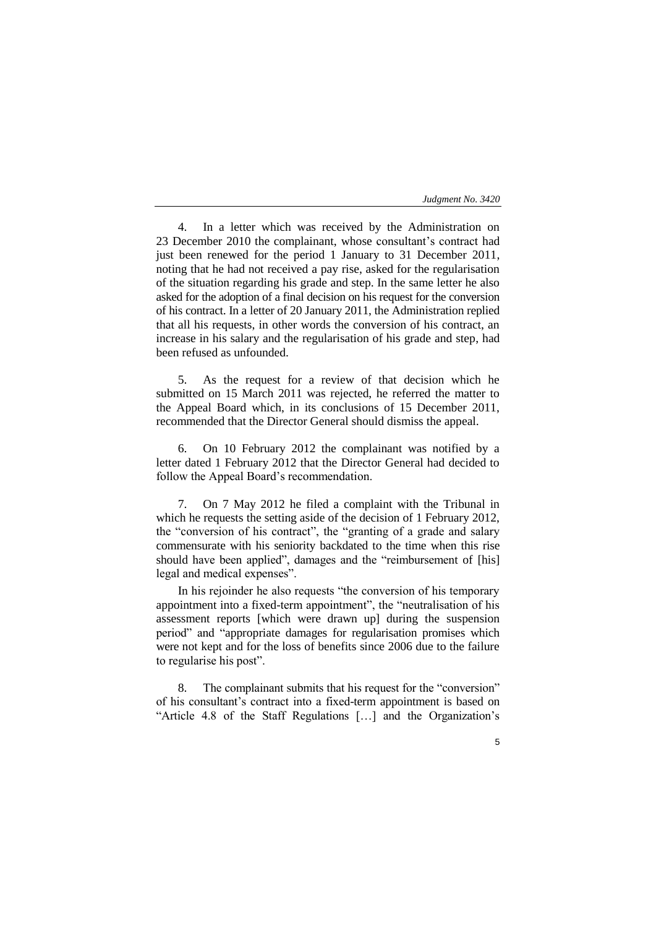5

4. In a letter which was received by the Administration on 23 December 2010 the complainant, whose consultant's contract had just been renewed for the period 1 January to 31 December 2011, noting that he had not received a pay rise, asked for the regularisation of the situation regarding his grade and step. In the same letter he also asked for the adoption of a final decision on his request for the conversion of his contract. In a letter of 20 January 2011, the Administration replied that all his requests, in other words the conversion of his contract, an increase in his salary and the regularisation of his grade and step, had been refused as unfounded.

5. As the request for a review of that decision which he submitted on 15 March 2011 was rejected, he referred the matter to the Appeal Board which, in its conclusions of 15 December 2011, recommended that the Director General should dismiss the appeal.

6. On 10 February 2012 the complainant was notified by a letter dated 1 February 2012 that the Director General had decided to follow the Appeal Board's recommendation.

7. On 7 May 2012 he filed a complaint with the Tribunal in which he requests the setting aside of the decision of 1 February 2012, the "conversion of his contract", the "granting of a grade and salary commensurate with his seniority backdated to the time when this rise should have been applied", damages and the "reimbursement of [his] legal and medical expenses".

In his rejoinder he also requests "the conversion of his temporary appointment into a fixed-term appointment", the "neutralisation of his assessment reports [which were drawn up] during the suspension period" and "appropriate damages for regularisation promises which were not kept and for the loss of benefits since 2006 due to the failure to regularise his post".

8. The complainant submits that his request for the "conversion" of his consultant's contract into a fixed-term appointment is based on "Article 4.8 of the Staff Regulations […] and the Organization's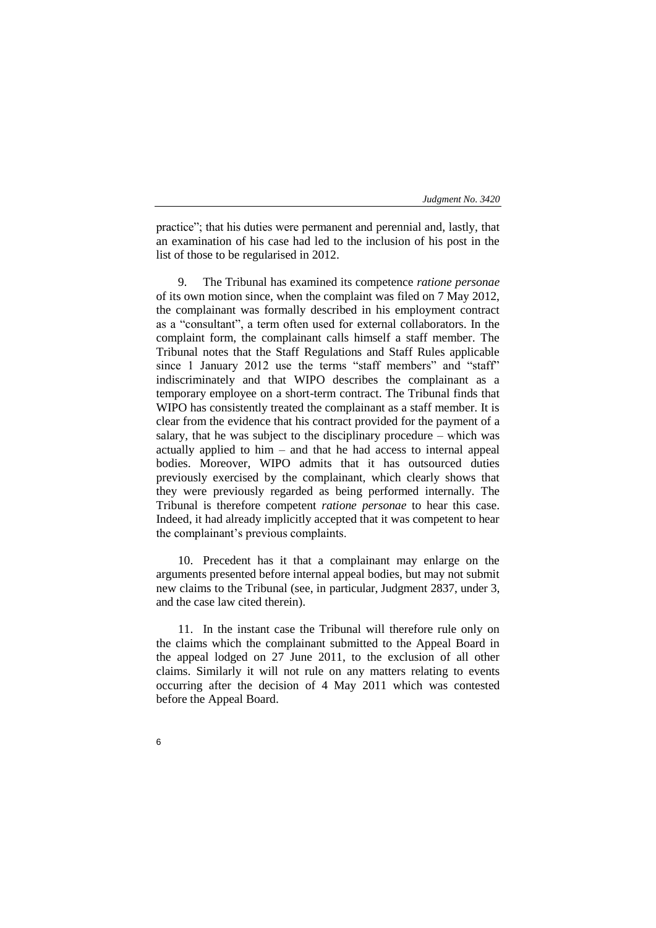practice"; that his duties were permanent and perennial and, lastly, that an examination of his case had led to the inclusion of his post in the list of those to be regularised in 2012.

9. The Tribunal has examined its competence *ratione personae* of its own motion since, when the complaint was filed on 7 May 2012, the complainant was formally described in his employment contract as a "consultant", a term often used for external collaborators. In the complaint form, the complainant calls himself a staff member. The Tribunal notes that the Staff Regulations and Staff Rules applicable since 1 January 2012 use the terms "staff members" and "staff" indiscriminately and that WIPO describes the complainant as a temporary employee on a short-term contract. The Tribunal finds that WIPO has consistently treated the complainant as a staff member. It is clear from the evidence that his contract provided for the payment of a salary, that he was subject to the disciplinary procedure – which was actually applied to him – and that he had access to internal appeal bodies. Moreover, WIPO admits that it has outsourced duties previously exercised by the complainant, which clearly shows that they were previously regarded as being performed internally. The Tribunal is therefore competent *ratione personae* to hear this case. Indeed, it had already implicitly accepted that it was competent to hear the complainant's previous complaints.

10. Precedent has it that a complainant may enlarge on the arguments presented before internal appeal bodies, but may not submit new claims to the Tribunal (see, in particular, Judgment 2837, under 3, and the case law cited therein).

11. In the instant case the Tribunal will therefore rule only on the claims which the complainant submitted to the Appeal Board in the appeal lodged on 27 June 2011, to the exclusion of all other claims. Similarly it will not rule on any matters relating to events occurring after the decision of 4 May 2011 which was contested before the Appeal Board.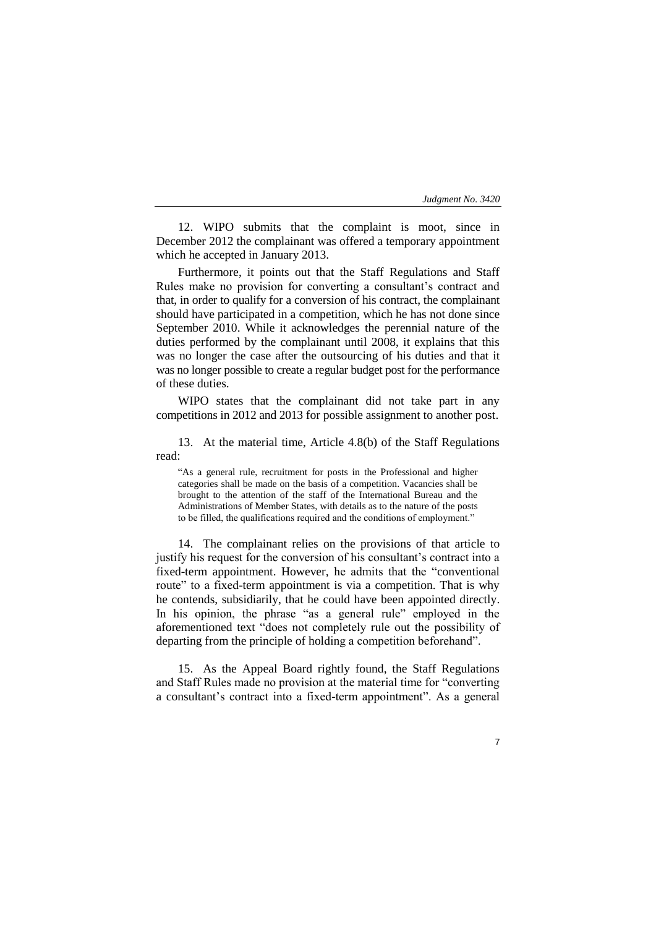12. WIPO submits that the complaint is moot, since in December 2012 the complainant was offered a temporary appointment which he accepted in January 2013.

Furthermore, it points out that the Staff Regulations and Staff Rules make no provision for converting a consultant's contract and that, in order to qualify for a conversion of his contract, the complainant should have participated in a competition, which he has not done since September 2010. While it acknowledges the perennial nature of the duties performed by the complainant until 2008, it explains that this was no longer the case after the outsourcing of his duties and that it was no longer possible to create a regular budget post for the performance of these duties.

WIPO states that the complainant did not take part in any competitions in 2012 and 2013 for possible assignment to another post.

13. At the material time, Article 4.8(b) of the Staff Regulations read:

"As a general rule, recruitment for posts in the Professional and higher categories shall be made on the basis of a competition. Vacancies shall be brought to the attention of the staff of the International Bureau and the Administrations of Member States, with details as to the nature of the posts to be filled, the qualifications required and the conditions of employment."

14. The complainant relies on the provisions of that article to justify his request for the conversion of his consultant's contract into a fixed-term appointment. However, he admits that the "conventional route" to a fixed-term appointment is via a competition. That is why he contends, subsidiarily, that he could have been appointed directly. In his opinion, the phrase "as a general rule" employed in the aforementioned text "does not completely rule out the possibility of departing from the principle of holding a competition beforehand".

15. As the Appeal Board rightly found, the Staff Regulations and Staff Rules made no provision at the material time for "converting a consultant's contract into a fixed-term appointment". As a general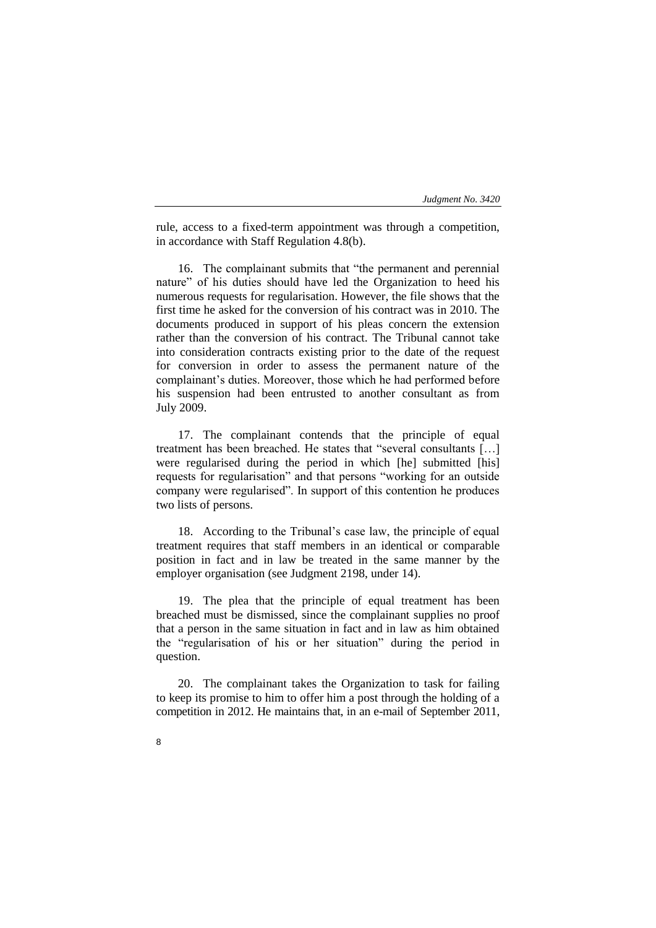rule, access to a fixed-term appointment was through a competition, in accordance with Staff Regulation 4.8(b).

16. The complainant submits that "the permanent and perennial nature" of his duties should have led the Organization to heed his numerous requests for regularisation. However, the file shows that the first time he asked for the conversion of his contract was in 2010. The documents produced in support of his pleas concern the extension rather than the conversion of his contract. The Tribunal cannot take into consideration contracts existing prior to the date of the request for conversion in order to assess the permanent nature of the complainant's duties. Moreover, those which he had performed before his suspension had been entrusted to another consultant as from July 2009.

17. The complainant contends that the principle of equal treatment has been breached. He states that "several consultants […] were regularised during the period in which [he] submitted [his] requests for regularisation" and that persons "working for an outside company were regularised". In support of this contention he produces two lists of persons.

18. According to the Tribunal's case law, the principle of equal treatment requires that staff members in an identical or comparable position in fact and in law be treated in the same manner by the employer organisation (see Judgment 2198, under 14).

19. The plea that the principle of equal treatment has been breached must be dismissed, since the complainant supplies no proof that a person in the same situation in fact and in law as him obtained the "regularisation of his or her situation" during the period in question.

20. The complainant takes the Organization to task for failing to keep its promise to him to offer him a post through the holding of a competition in 2012. He maintains that, in an e-mail of September 2011,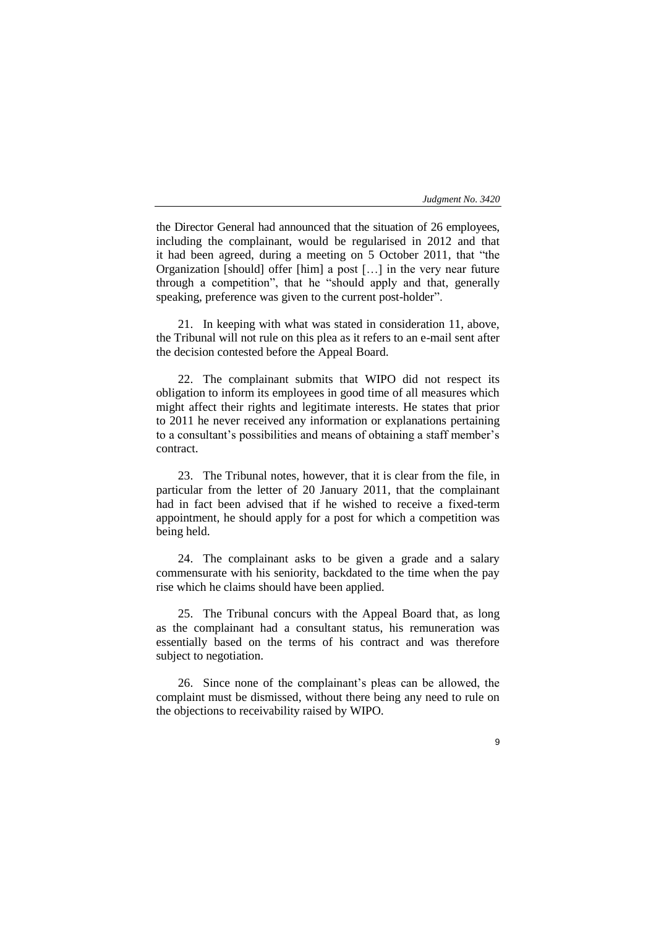the Director General had announced that the situation of 26 employees, including the complainant, would be regularised in 2012 and that it had been agreed, during a meeting on 5 October 2011, that "the Organization [should] offer [him] a post […] in the very near future through a competition", that he "should apply and that, generally speaking, preference was given to the current post-holder".

21. In keeping with what was stated in consideration 11, above, the Tribunal will not rule on this plea as it refers to an e-mail sent after the decision contested before the Appeal Board.

22. The complainant submits that WIPO did not respect its obligation to inform its employees in good time of all measures which might affect their rights and legitimate interests. He states that prior to 2011 he never received any information or explanations pertaining to a consultant's possibilities and means of obtaining a staff member's contract.

23. The Tribunal notes, however, that it is clear from the file, in particular from the letter of 20 January 2011, that the complainant had in fact been advised that if he wished to receive a fixed-term appointment, he should apply for a post for which a competition was being held.

24. The complainant asks to be given a grade and a salary commensurate with his seniority, backdated to the time when the pay rise which he claims should have been applied.

25. The Tribunal concurs with the Appeal Board that, as long as the complainant had a consultant status, his remuneration was essentially based on the terms of his contract and was therefore subject to negotiation.

26. Since none of the complainant's pleas can be allowed, the complaint must be dismissed, without there being any need to rule on the objections to receivability raised by WIPO.